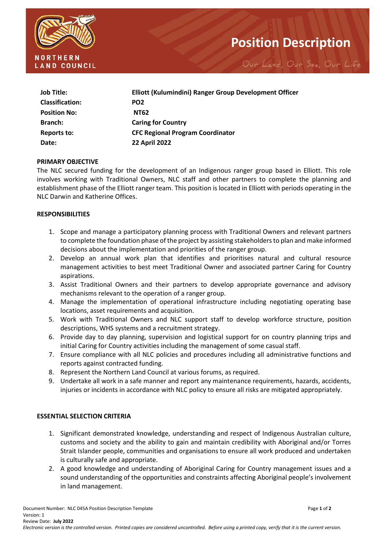

# **Position Description**

Our Land, Our Sea, Our Life

| <b>Job Title:</b>      | Elliott (Kulumindini) Ranger Group Development Officer |
|------------------------|--------------------------------------------------------|
| <b>Classification:</b> | PO <sub>2</sub>                                        |
| <b>Position No:</b>    | <b>NT62</b>                                            |
| <b>Branch:</b>         | <b>Caring for Country</b>                              |
| <b>Reports to:</b>     | <b>CFC Regional Program Coordinator</b>                |
| Date:                  | <b>22 April 2022</b>                                   |

#### **PRIMARY OBJECTIVE**

The NLC secured funding for the development of an Indigenous ranger group based in Elliott. This role involves working with Traditional Owners, NLC staff and other partners to complete the planning and establishment phase of the Elliott ranger team. This position is located in Elliott with periods operating in the NLC Darwin and Katherine Offices.

#### **RESPONSIBILITIES**

- 1. Scope and manage a participatory planning process with Traditional Owners and relevant partners to complete the foundation phase of the project by assisting stakeholders to plan and make informed decisions about the implementation and priorities of the ranger group.
- 2. Develop an annual work plan that identifies and prioritises natural and cultural resource management activities to best meet Traditional Owner and associated partner Caring for Country aspirations.
- 3. Assist Traditional Owners and their partners to develop appropriate governance and advisory mechanisms relevant to the operation of a ranger group.
- 4. Manage the implementation of operational infrastructure including negotiating operating base locations, asset requirements and acquisition.
- 5. Work with Traditional Owners and NLC support staff to develop workforce structure, position descriptions, WHS systems and a recruitment strategy.
- 6. Provide day to day planning, supervision and logistical support for on country planning trips and initial Caring for Country activities including the management of some casual staff.
- 7. Ensure compliance with all NLC policies and procedures including all administrative functions and reports against contracted funding.
- 8. Represent the Northern Land Council at various forums, as required.
- 9. Undertake all work in a safe manner and report any maintenance requirements, hazards, accidents, injuries or incidents in accordance with NLC policy to ensure all risks are mitigated appropriately.

## **ESSENTIAL SELECTION CRITERIA**

- 1. Significant demonstrated knowledge, understanding and respect of Indigenous Australian culture, customs and society and the ability to gain and maintain credibility with Aboriginal and/or Torres Strait Islander people, communities and organisations to ensure all work produced and undertaken is culturally safe and appropriate.
- 2. A good knowledge and understanding of Aboriginal Caring for Country management issues and a sound understanding of the opportunities and constraints affecting Aboriginal people's involvement in land management.